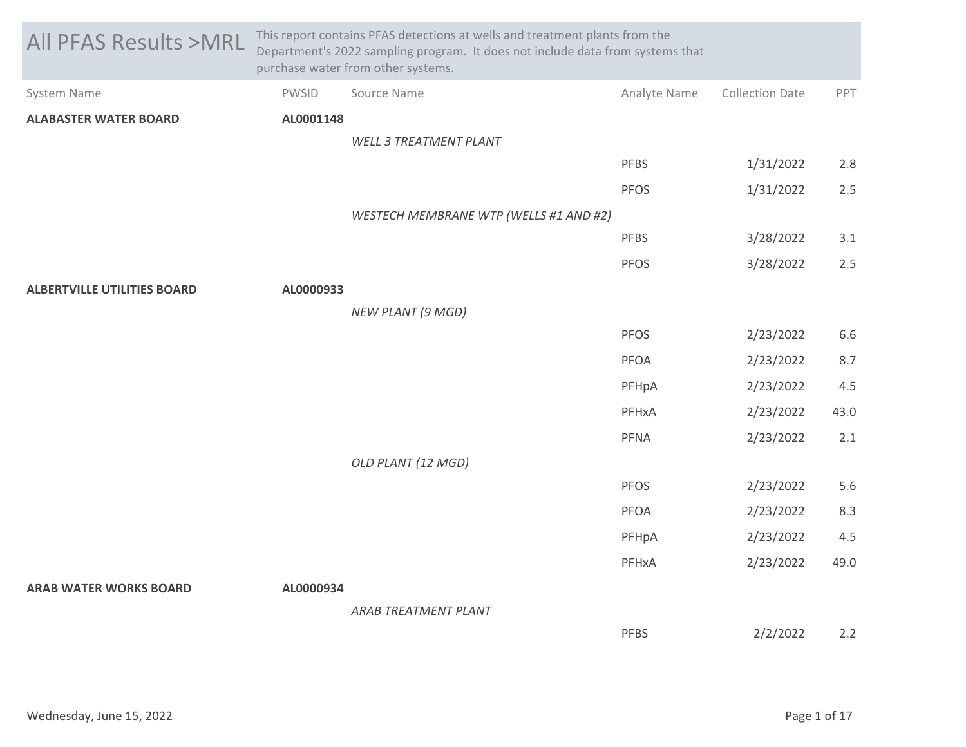| <b>All PFAS Results &gt;MRL</b>    | This report contains PFAS detections at wells and treatment plants from the<br>Department's 2022 sampling program. It does not include data from systems that<br>purchase water from other systems. |                                        |                     |                        |      |  |
|------------------------------------|-----------------------------------------------------------------------------------------------------------------------------------------------------------------------------------------------------|----------------------------------------|---------------------|------------------------|------|--|
| <b>System Name</b>                 | <b>PWSID</b>                                                                                                                                                                                        | Source Name                            | <b>Analyte Name</b> | <b>Collection Date</b> | PPT  |  |
| <b>ALABASTER WATER BOARD</b>       | AL0001148                                                                                                                                                                                           |                                        |                     |                        |      |  |
|                                    |                                                                                                                                                                                                     | <b>WELL 3 TREATMENT PLANT</b>          |                     |                        |      |  |
|                                    |                                                                                                                                                                                                     |                                        | <b>PFBS</b>         | 1/31/2022              | 2.8  |  |
|                                    |                                                                                                                                                                                                     |                                        | <b>PFOS</b>         | 1/31/2022              | 2.5  |  |
|                                    |                                                                                                                                                                                                     | WESTECH MEMBRANE WTP (WELLS #1 AND #2) |                     |                        |      |  |
|                                    |                                                                                                                                                                                                     |                                        | <b>PFBS</b>         | 3/28/2022              | 3.1  |  |
|                                    |                                                                                                                                                                                                     |                                        | <b>PFOS</b>         | 3/28/2022              | 2.5  |  |
| <b>ALBERTVILLE UTILITIES BOARD</b> | AL0000933                                                                                                                                                                                           |                                        |                     |                        |      |  |
|                                    |                                                                                                                                                                                                     | <b>NEW PLANT (9 MGD)</b>               |                     |                        |      |  |
|                                    |                                                                                                                                                                                                     |                                        | PFOS                | 2/23/2022              | 6.6  |  |
|                                    |                                                                                                                                                                                                     |                                        | PFOA                | 2/23/2022              | 8.7  |  |
|                                    |                                                                                                                                                                                                     |                                        | PFHpA               | 2/23/2022              | 4.5  |  |
|                                    |                                                                                                                                                                                                     |                                        | PFHxA               | 2/23/2022              | 43.0 |  |
|                                    |                                                                                                                                                                                                     |                                        | PFNA                | 2/23/2022              | 2.1  |  |
|                                    |                                                                                                                                                                                                     | OLD PLANT (12 MGD)                     |                     |                        |      |  |
|                                    |                                                                                                                                                                                                     |                                        | PFOS                | 2/23/2022              | 5.6  |  |
|                                    |                                                                                                                                                                                                     |                                        | <b>PFOA</b>         | 2/23/2022              | 8.3  |  |
|                                    |                                                                                                                                                                                                     |                                        | PFHpA               | 2/23/2022              | 4.5  |  |
|                                    |                                                                                                                                                                                                     |                                        | PFHxA               | 2/23/2022              | 49.0 |  |
| <b>ARAB WATER WORKS BOARD</b>      | AL0000934                                                                                                                                                                                           |                                        |                     |                        |      |  |
|                                    |                                                                                                                                                                                                     | <b>ARAB TREATMENT PLANT</b>            |                     |                        |      |  |
|                                    |                                                                                                                                                                                                     |                                        | <b>PFBS</b>         | 2/2/2022               | 2.2  |  |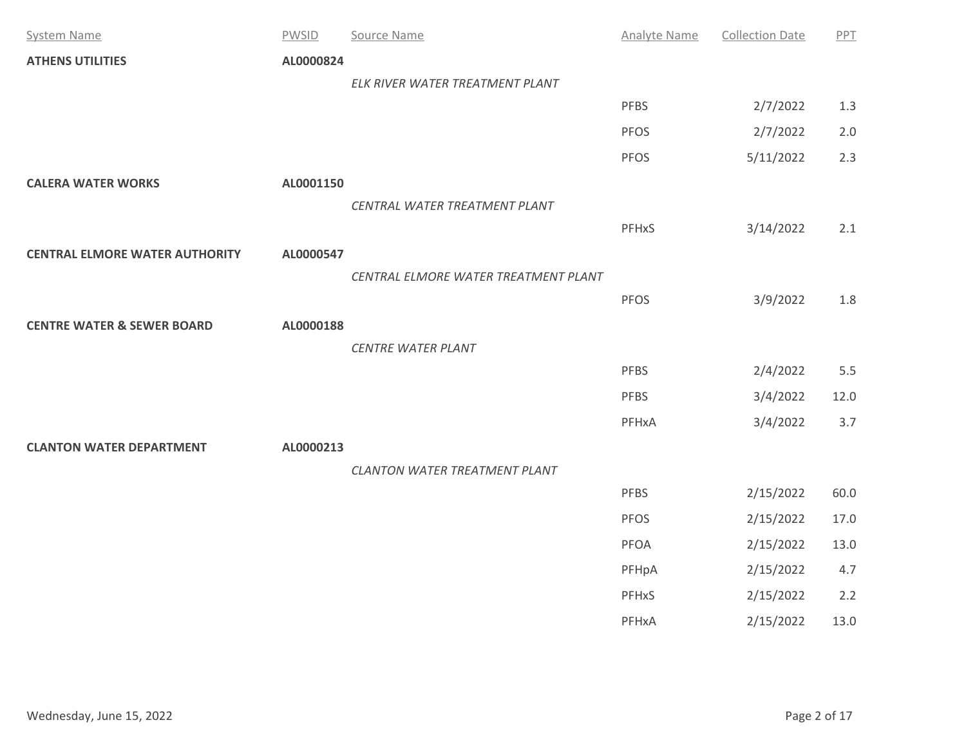| <b>System Name</b>                    | <b>PWSID</b> | Source Name                          | <b>Analyte Name</b> | <b>Collection Date</b> | PPT   |
|---------------------------------------|--------------|--------------------------------------|---------------------|------------------------|-------|
| <b>ATHENS UTILITIES</b>               | AL0000824    |                                      |                     |                        |       |
|                                       |              | ELK RIVER WATER TREATMENT PLANT      |                     |                        |       |
|                                       |              |                                      | <b>PFBS</b>         | 2/7/2022               | 1.3   |
|                                       |              |                                      | <b>PFOS</b>         | 2/7/2022               | $2.0$ |
|                                       |              |                                      | <b>PFOS</b>         | 5/11/2022              | 2.3   |
| <b>CALERA WATER WORKS</b>             | AL0001150    |                                      |                     |                        |       |
|                                       |              | CENTRAL WATER TREATMENT PLANT        |                     |                        |       |
|                                       |              |                                      | PFHxS               | 3/14/2022              | 2.1   |
| <b>CENTRAL ELMORE WATER AUTHORITY</b> | AL0000547    |                                      |                     |                        |       |
|                                       |              | CENTRAL ELMORE WATER TREATMENT PLANT |                     |                        |       |
|                                       |              |                                      | <b>PFOS</b>         | 3/9/2022               | 1.8   |
| <b>CENTRE WATER &amp; SEWER BOARD</b> | AL0000188    |                                      |                     |                        |       |
|                                       |              | <b>CENTRE WATER PLANT</b>            |                     |                        |       |
|                                       |              |                                      | <b>PFBS</b>         | 2/4/2022               | 5.5   |
|                                       |              |                                      | <b>PFBS</b>         | 3/4/2022               | 12.0  |
|                                       |              |                                      | PFHxA               | 3/4/2022               | 3.7   |
| <b>CLANTON WATER DEPARTMENT</b>       | AL0000213    |                                      |                     |                        |       |
|                                       |              | CLANTON WATER TREATMENT PLANT        |                     |                        |       |
|                                       |              |                                      | <b>PFBS</b>         | 2/15/2022              | 60.0  |
|                                       |              |                                      | <b>PFOS</b>         | 2/15/2022              | 17.0  |
|                                       |              |                                      | PFOA                | 2/15/2022              | 13.0  |
|                                       |              |                                      | PFHpA               | 2/15/2022              | 4.7   |
|                                       |              |                                      | <b>PFHxS</b>        | 2/15/2022              | 2.2   |
|                                       |              |                                      | PFHxA               | 2/15/2022              | 13.0  |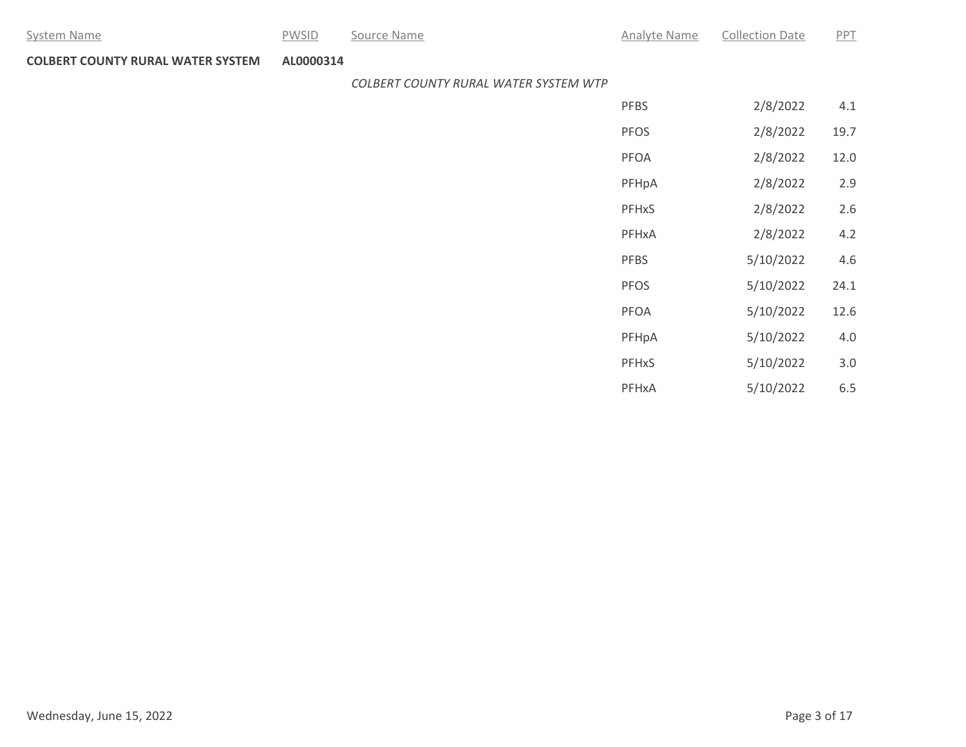System Name **Example 20 Source Name** Analyte Name Analyte Name Collection Date PPT

**COLBERT COUNTY RURAL WATER SYSTEM AL0000314**

*COLBERT COUNTY RURAL WATER SYSTEM WTP*

| <b>PFBS</b>             | 2/8/2022  | 4.1  |
|-------------------------|-----------|------|
| <b>PFOS</b>             | 2/8/2022  | 19.7 |
| PFOA                    | 2/8/2022  | 12.0 |
| PFHpA                   | 2/8/2022  | 2.9  |
| <b>PFH<sub>x</sub>S</b> | 2/8/2022  | 2.6  |
| PFHxA                   | 2/8/2022  | 4.2  |
| <b>PFBS</b>             | 5/10/2022 | 4.6  |
| <b>PFOS</b>             | 5/10/2022 | 24.1 |
| PFOA                    | 5/10/2022 | 12.6 |
| PFHpA                   | 5/10/2022 | 4.0  |
| PFHxS                   | 5/10/2022 | 3.0  |
| PFHxA                   | 5/10/2022 | 6.5  |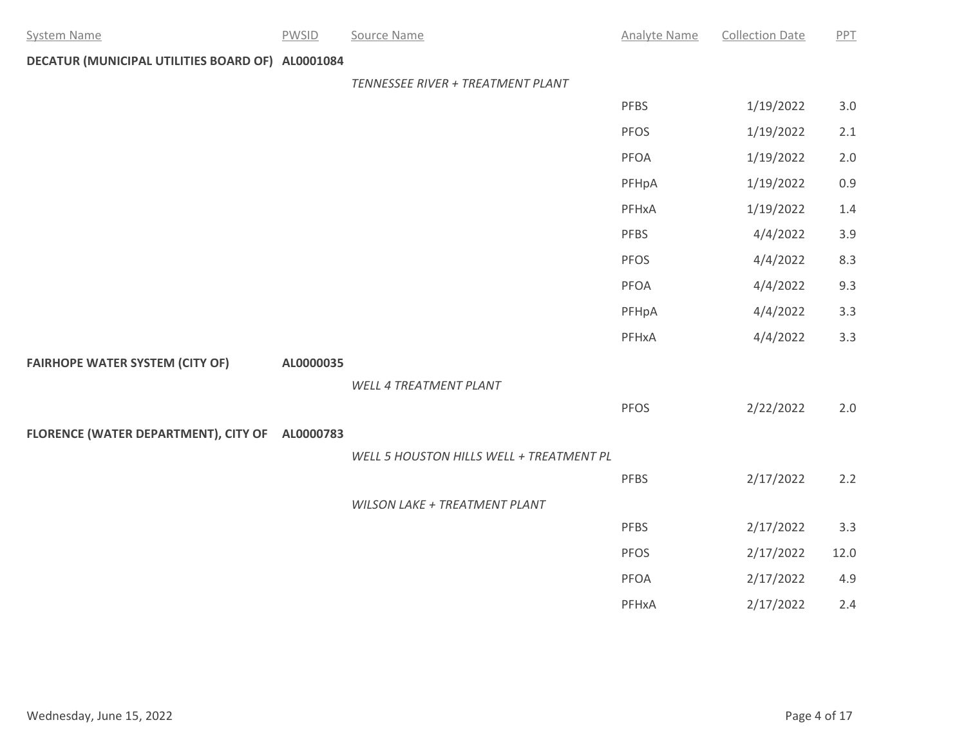| <b>System Name</b>                               | <b>PWSID</b> | Source Name                              | <b>Analyte Name</b> | <b>Collection Date</b> | PPT     |
|--------------------------------------------------|--------------|------------------------------------------|---------------------|------------------------|---------|
| DECATUR (MUNICIPAL UTILITIES BOARD OF) AL0001084 |              |                                          |                     |                        |         |
|                                                  |              | TENNESSEE RIVER + TREATMENT PLANT        |                     |                        |         |
|                                                  |              |                                          | <b>PFBS</b>         | 1/19/2022              | $3.0\,$ |
|                                                  |              |                                          | PFOS                | 1/19/2022              | 2.1     |
|                                                  |              |                                          | PFOA                | 1/19/2022              | $2.0$   |
|                                                  |              |                                          | PFHpA               | 1/19/2022              | 0.9     |
|                                                  |              |                                          | PFHxA               | 1/19/2022              | 1.4     |
|                                                  |              |                                          | PFBS                | 4/4/2022               | 3.9     |
|                                                  |              |                                          | <b>PFOS</b>         | 4/4/2022               | 8.3     |
|                                                  |              |                                          | PFOA                | 4/4/2022               | 9.3     |
|                                                  |              |                                          | PFHpA               | 4/4/2022               | 3.3     |
|                                                  |              |                                          | PFHxA               | 4/4/2022               | 3.3     |
| <b>FAIRHOPE WATER SYSTEM (CITY OF)</b>           | AL0000035    |                                          |                     |                        |         |
|                                                  |              | WELL 4 TREATMENT PLANT                   |                     |                        |         |
|                                                  |              |                                          | <b>PFOS</b>         | 2/22/2022              | 2.0     |
| FLORENCE (WATER DEPARTMENT), CITY OF AL0000783   |              |                                          |                     |                        |         |
|                                                  |              | WELL 5 HOUSTON HILLS WELL + TREATMENT PL |                     |                        |         |
|                                                  |              |                                          | PFBS                | 2/17/2022              | 2.2     |
|                                                  |              | WILSON LAKE + TREATMENT PLANT            |                     |                        |         |
|                                                  |              |                                          | <b>PFBS</b>         | 2/17/2022              | 3.3     |
|                                                  |              |                                          | <b>PFOS</b>         | 2/17/2022              | 12.0    |
|                                                  |              |                                          | <b>PFOA</b>         | 2/17/2022              | 4.9     |
|                                                  |              |                                          | PFHxA               | 2/17/2022              | 2.4     |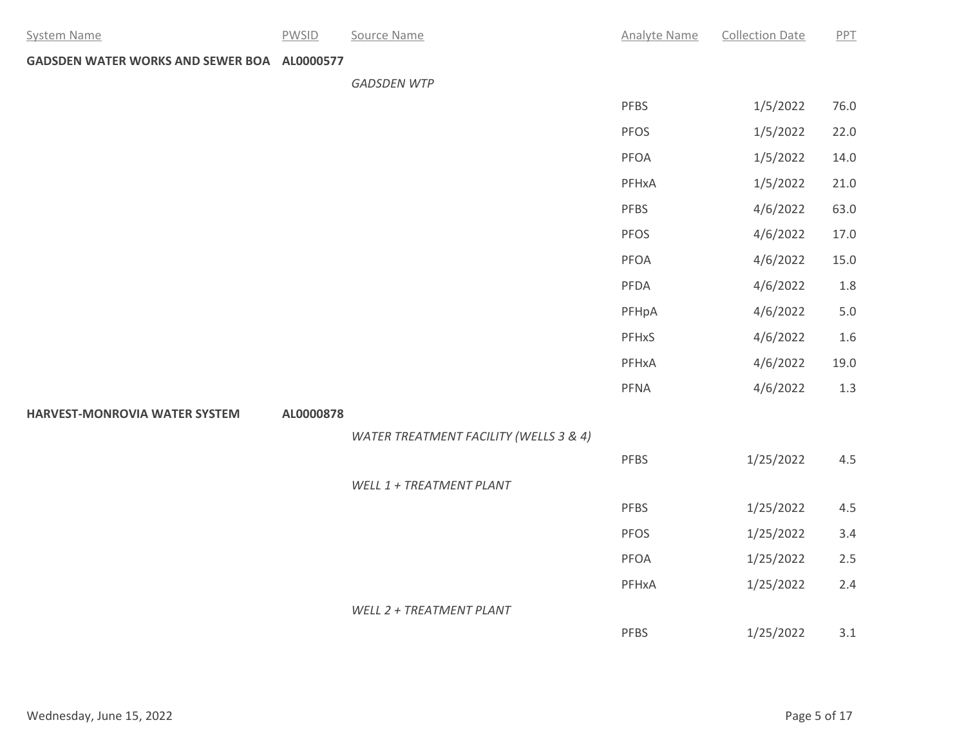| <b>System Name</b>                          | <b>PWSID</b> | Source Name                            | <b>Analyte Name</b> | <b>Collection Date</b> | PPT  |
|---------------------------------------------|--------------|----------------------------------------|---------------------|------------------------|------|
| GADSDEN WATER WORKS AND SEWER BOA AL0000577 |              |                                        |                     |                        |      |
|                                             |              | <b>GADSDEN WTP</b>                     |                     |                        |      |
|                                             |              |                                        | PFBS                | 1/5/2022               | 76.0 |
|                                             |              |                                        | <b>PFOS</b>         | 1/5/2022               | 22.0 |
|                                             |              |                                        | <b>PFOA</b>         | 1/5/2022               | 14.0 |
|                                             |              |                                        | PFHxA               | 1/5/2022               | 21.0 |
|                                             |              |                                        | <b>PFBS</b>         | 4/6/2022               | 63.0 |
|                                             |              |                                        | <b>PFOS</b>         | 4/6/2022               | 17.0 |
|                                             |              |                                        | PFOA                | 4/6/2022               | 15.0 |
|                                             |              |                                        | PFDA                | 4/6/2022               | 1.8  |
|                                             |              |                                        | PFHpA               | 4/6/2022               | 5.0  |
|                                             |              |                                        | PFHxS               | 4/6/2022               | 1.6  |
|                                             |              |                                        | PFHxA               | 4/6/2022               | 19.0 |
|                                             |              |                                        | PFNA                | 4/6/2022               | 1.3  |
| HARVEST-MONROVIA WATER SYSTEM               | AL0000878    |                                        |                     |                        |      |
|                                             |              | WATER TREATMENT FACILITY (WELLS 3 & 4) |                     |                        |      |
|                                             |              |                                        | <b>PFBS</b>         | 1/25/2022              | 4.5  |
|                                             |              | WELL 1 + TREATMENT PLANT               |                     |                        |      |
|                                             |              |                                        | <b>PFBS</b>         | 1/25/2022              | 4.5  |
|                                             |              |                                        | PFOS                | 1/25/2022              | 3.4  |
|                                             |              |                                        | PFOA                | 1/25/2022              | 2.5  |
|                                             |              |                                        | PFHxA               | 1/25/2022              | 2.4  |
|                                             |              | WELL 2 + TREATMENT PLANT               |                     |                        |      |
|                                             |              |                                        | <b>PFBS</b>         | 1/25/2022              | 3.1  |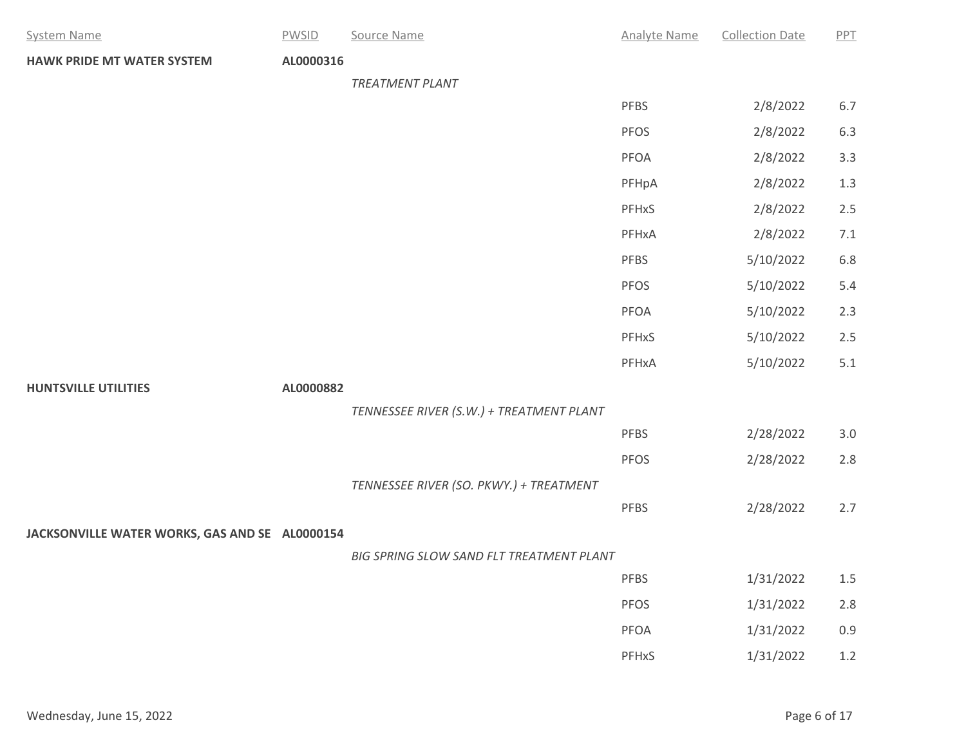| <b>System Name</b>                             | <b>PWSID</b> | Source Name                              | <b>Analyte Name</b> | <b>Collection Date</b> | PPT     |
|------------------------------------------------|--------------|------------------------------------------|---------------------|------------------------|---------|
| <b>HAWK PRIDE MT WATER SYSTEM</b>              | AL0000316    |                                          |                     |                        |         |
|                                                |              | TREATMENT PLANT                          |                     |                        |         |
|                                                |              |                                          | <b>PFBS</b>         | 2/8/2022               | $6.7\,$ |
|                                                |              |                                          | PFOS                | 2/8/2022               | $6.3\,$ |
|                                                |              |                                          | PFOA                | 2/8/2022               | 3.3     |
|                                                |              |                                          | PFHpA               | 2/8/2022               | $1.3$   |
|                                                |              |                                          | PFHxS               | 2/8/2022               | $2.5$   |
|                                                |              |                                          | PFHxA               | 2/8/2022               | $7.1\,$ |
|                                                |              |                                          | PFBS                | 5/10/2022              | 6.8     |
|                                                |              |                                          | PFOS                | 5/10/2022              | 5.4     |
|                                                |              |                                          | PFOA                | 5/10/2022              | 2.3     |
|                                                |              |                                          | PFHxS               | 5/10/2022              | $2.5$   |
|                                                |              |                                          | PFHxA               | 5/10/2022              | 5.1     |
| <b>HUNTSVILLE UTILITIES</b>                    | AL0000882    |                                          |                     |                        |         |
|                                                |              | TENNESSEE RIVER (S.W.) + TREATMENT PLANT |                     |                        |         |
|                                                |              |                                          | PFBS                | 2/28/2022              | $3.0\,$ |
|                                                |              |                                          | PFOS                | 2/28/2022              | $2.8$   |
|                                                |              | TENNESSEE RIVER (SO. PKWY.) + TREATMENT  |                     |                        |         |
|                                                |              |                                          | <b>PFBS</b>         | 2/28/2022              | 2.7     |
| JACKSONVILLE WATER WORKS, GAS AND SE AL0000154 |              |                                          |                     |                        |         |
|                                                |              | BIG SPRING SLOW SAND FLT TREATMENT PLANT |                     |                        |         |
|                                                |              |                                          | <b>PFBS</b>         | 1/31/2022              | $1.5$   |
|                                                |              |                                          | PFOS                | 1/31/2022              | $2.8$   |
|                                                |              |                                          | PFOA                | 1/31/2022              | 0.9     |
|                                                |              |                                          | PFHxS               | 1/31/2022              | $1.2\,$ |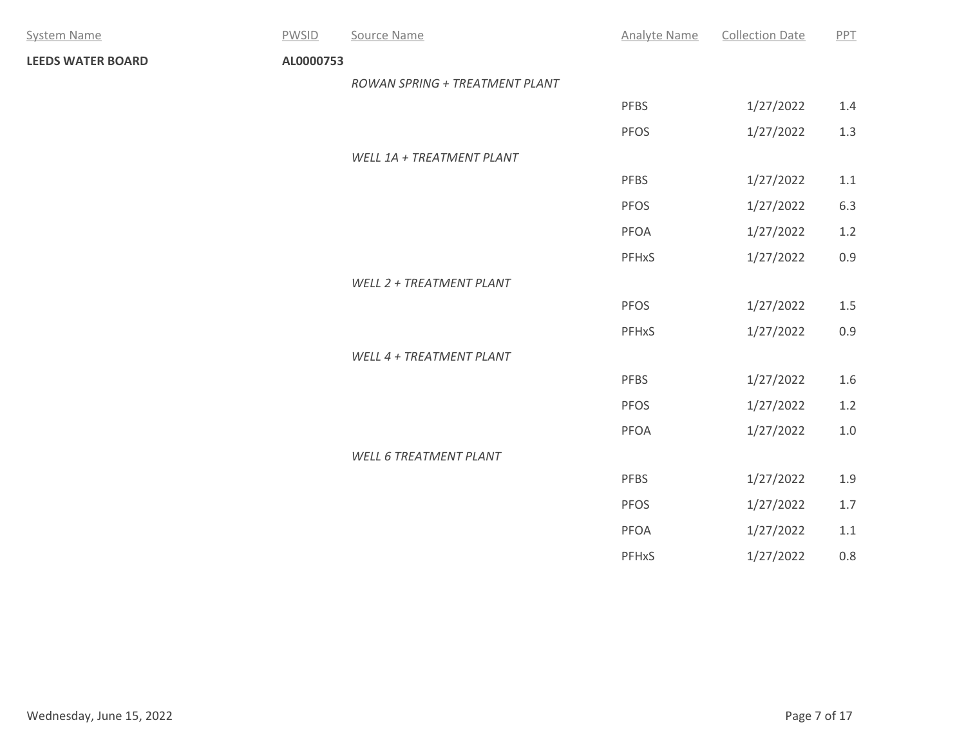| <b>System Name</b>       | PWSID     | Source Name                    | <b>Analyte Name</b> | <b>Collection Date</b> | PPT     |
|--------------------------|-----------|--------------------------------|---------------------|------------------------|---------|
| <b>LEEDS WATER BOARD</b> | AL0000753 |                                |                     |                        |         |
|                          |           | ROWAN SPRING + TREATMENT PLANT |                     |                        |         |
|                          |           |                                | <b>PFBS</b>         | 1/27/2022              | 1.4     |
|                          |           |                                | <b>PFOS</b>         | 1/27/2022              | 1.3     |
|                          |           | WELL 1A + TREATMENT PLANT      |                     |                        |         |
|                          |           |                                | <b>PFBS</b>         | 1/27/2022              | 1.1     |
|                          |           |                                | PFOS                | 1/27/2022              | 6.3     |
|                          |           |                                | PFOA                | 1/27/2022              | $1.2$   |
|                          |           |                                | PFHxS               | 1/27/2022              | 0.9     |
|                          |           | WELL 2 + TREATMENT PLANT       |                     |                        |         |
|                          |           |                                | PFOS                | 1/27/2022              | $1.5\,$ |
|                          |           |                                | PFHxS               | 1/27/2022              | 0.9     |
|                          |           | WELL 4 + TREATMENT PLANT       |                     |                        |         |
|                          |           |                                | PFBS                | 1/27/2022              | 1.6     |
|                          |           |                                | PFOS                | 1/27/2022              | $1.2\,$ |
|                          |           |                                | PFOA                | 1/27/2022              | $1.0$   |
|                          |           | <b>WELL 6 TREATMENT PLANT</b>  |                     |                        |         |
|                          |           |                                | <b>PFBS</b>         | 1/27/2022              | 1.9     |
|                          |           |                                | PFOS                | 1/27/2022              | $1.7\,$ |
|                          |           |                                | PFOA                | 1/27/2022              | 1.1     |
|                          |           |                                | PFHxS               | 1/27/2022              | $0.8\,$ |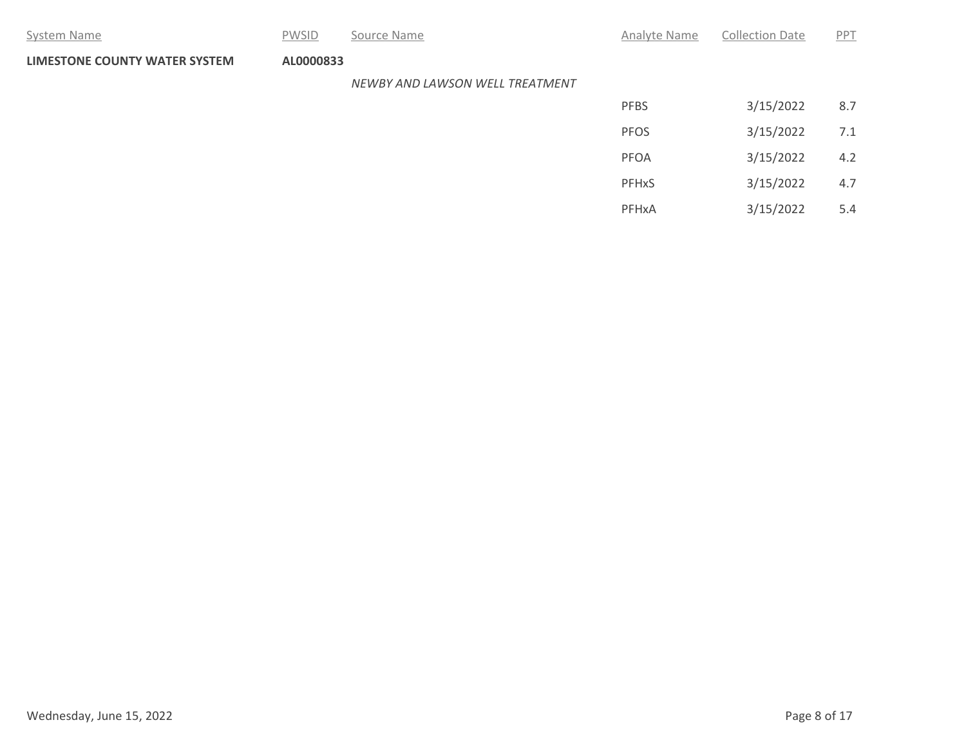| System Name                          | <b>PWSID</b> | Source Name                     | Analyte Name | <b>Collection Date</b> | PPT |
|--------------------------------------|--------------|---------------------------------|--------------|------------------------|-----|
| <b>LIMESTONE COUNTY WATER SYSTEM</b> | AL0000833    |                                 |              |                        |     |
|                                      |              | NEWBY AND LAWSON WELL TREATMENT |              |                        |     |
|                                      |              |                                 | <b>PFBS</b>  | 3/15/2022              | 8.7 |
|                                      |              |                                 | <b>PFOS</b>  | 3/15/2022              | 7.1 |
|                                      |              |                                 | PFOA         | 3/15/2022              | 4.2 |
|                                      |              |                                 | PFHxS        | 3/15/2022              | 4.7 |
|                                      |              |                                 | PFHxA        | 3/15/2022              | 5.4 |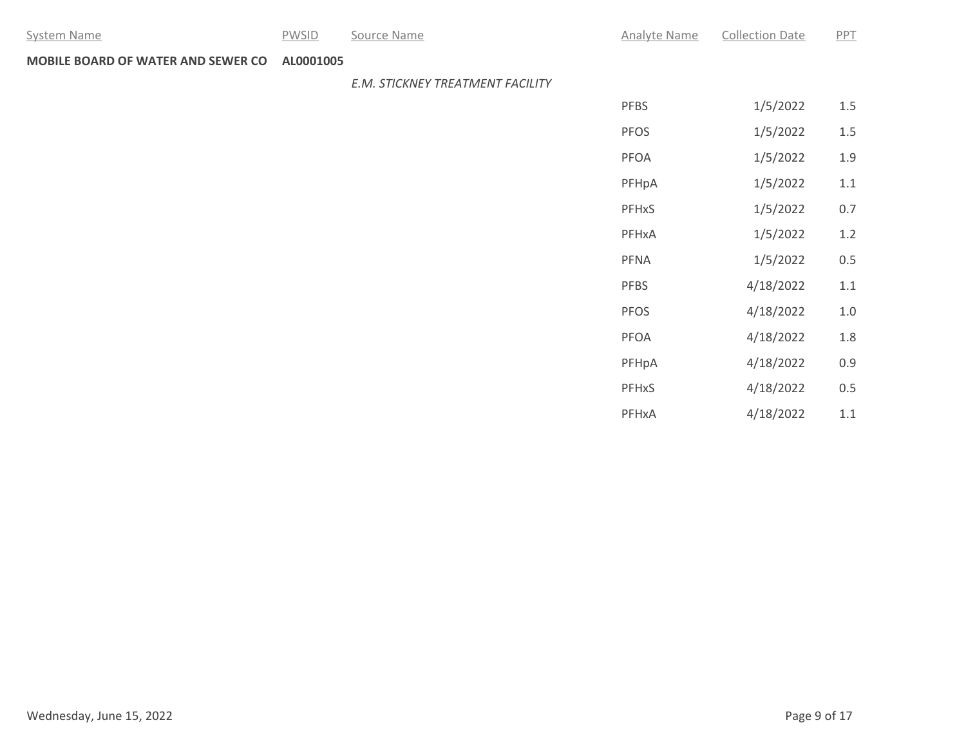System Name **Example 20 Source Name** Analyte Name Analyte Name Collection Date PPT

**MOBILE BOARD OF WATER AND SEWER CO AL0001005**

### *E.M. STICKNEY TREATMENT FACILITY*

| <b>PFBS</b>             | 1/5/2022  | 1.5 |
|-------------------------|-----------|-----|
| <b>PFOS</b>             | 1/5/2022  | 1.5 |
| <b>PFOA</b>             | 1/5/2022  | 1.9 |
| PFHpA                   | 1/5/2022  | 1.1 |
| <b>PFH<sub>x</sub>S</b> | 1/5/2022  | 0.7 |
| PFHxA                   | 1/5/2022  | 1.2 |
| <b>PFNA</b>             | 1/5/2022  | 0.5 |
| <b>PFBS</b>             | 4/18/2022 | 1.1 |
| <b>PFOS</b>             | 4/18/2022 | 1.0 |
| <b>PFOA</b>             | 4/18/2022 | 1.8 |
| PFHpA                   | 4/18/2022 | 0.9 |
| <b>PFHxS</b>            | 4/18/2022 | 0.5 |
| PFHxA                   | 4/18/2022 | 1.1 |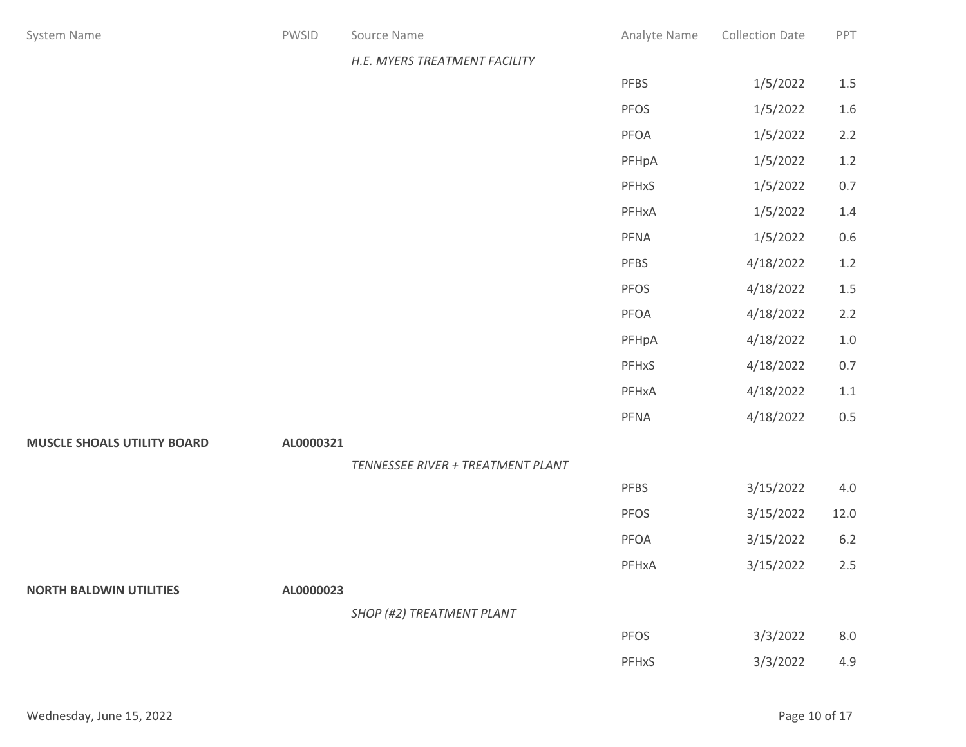| <b>System Name</b>                 | <b>PWSID</b> | Source Name                       | <b>Analyte Name</b> | <b>Collection Date</b> | PPT     |
|------------------------------------|--------------|-----------------------------------|---------------------|------------------------|---------|
|                                    |              | H.E. MYERS TREATMENT FACILITY     |                     |                        |         |
|                                    |              |                                   | PFBS                | 1/5/2022               | $1.5\,$ |
|                                    |              |                                   | PFOS                | 1/5/2022               | $1.6\,$ |
|                                    |              |                                   | PFOA                | 1/5/2022               | 2.2     |
|                                    |              |                                   | PFHpA               | 1/5/2022               | $1.2\,$ |
|                                    |              |                                   | PFHxS               | 1/5/2022               | $0.7\,$ |
|                                    |              |                                   | PFHxA               | 1/5/2022               | $1.4\,$ |
|                                    |              |                                   | PFNA                | 1/5/2022               | $0.6\,$ |
|                                    |              |                                   | PFBS                | 4/18/2022              | $1.2\,$ |
|                                    |              |                                   | PFOS                | 4/18/2022              | $1.5\,$ |
|                                    |              |                                   | PFOA                | 4/18/2022              | 2.2     |
|                                    |              |                                   | PFHpA               | 4/18/2022              | $1.0\,$ |
|                                    |              |                                   | PFHxS               | 4/18/2022              | $0.7\,$ |
|                                    |              |                                   | PFHxA               | 4/18/2022              | $1.1\,$ |
|                                    |              |                                   | PFNA                | 4/18/2022              | $0.5\,$ |
| <b>MUSCLE SHOALS UTILITY BOARD</b> | AL0000321    |                                   |                     |                        |         |
|                                    |              | TENNESSEE RIVER + TREATMENT PLANT |                     |                        |         |
|                                    |              |                                   | PFBS                | 3/15/2022              | $4.0\,$ |
|                                    |              |                                   | PFOS                | 3/15/2022              | 12.0    |
|                                    |              |                                   | PFOA                | 3/15/2022              | $6.2\,$ |
|                                    |              |                                   | PFHxA               | 3/15/2022              | $2.5\,$ |
| <b>NORTH BALDWIN UTILITIES</b>     | AL0000023    |                                   |                     |                        |         |
|                                    |              | SHOP (#2) TREATMENT PLANT         |                     |                        |         |
|                                    |              |                                   | PFOS                | 3/3/2022               | 8.0     |
|                                    |              |                                   | PFHxS               | 3/3/2022               | 4.9     |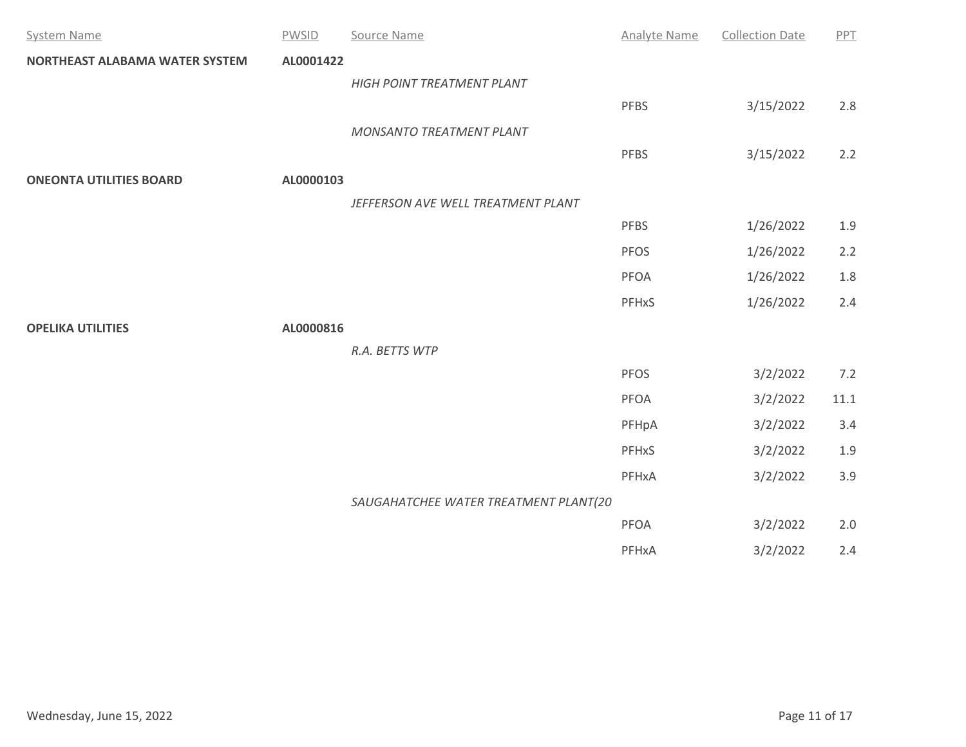| <b>System Name</b>             | <b>PWSID</b> | Source Name                           | <b>Analyte Name</b> | <b>Collection Date</b> | PPT      |
|--------------------------------|--------------|---------------------------------------|---------------------|------------------------|----------|
| NORTHEAST ALABAMA WATER SYSTEM | AL0001422    |                                       |                     |                        |          |
|                                |              | HIGH POINT TREATMENT PLANT            |                     |                        |          |
|                                |              |                                       | <b>PFBS</b>         | 3/15/2022              | $2.8\,$  |
|                                |              | MONSANTO TREATMENT PLANT              |                     |                        |          |
|                                |              |                                       | <b>PFBS</b>         | 3/15/2022              | 2.2      |
| <b>ONEONTA UTILITIES BOARD</b> | AL0000103    |                                       |                     |                        |          |
|                                |              | JEFFERSON AVE WELL TREATMENT PLANT    |                     |                        |          |
|                                |              |                                       | <b>PFBS</b>         | 1/26/2022              | $1.9\,$  |
|                                |              |                                       | <b>PFOS</b>         | 1/26/2022              | 2.2      |
|                                |              |                                       | PFOA                | 1/26/2022              | $1.8\,$  |
|                                |              |                                       | PFHxS               | 1/26/2022              | 2.4      |
| <b>OPELIKA UTILITIES</b>       | AL0000816    |                                       |                     |                        |          |
|                                |              | R.A. BETTS WTP                        |                     |                        |          |
|                                |              |                                       | <b>PFOS</b>         | 3/2/2022               | 7.2      |
|                                |              |                                       | PFOA                | 3/2/2022               | $11.1\,$ |
|                                |              |                                       | PFHpA               | 3/2/2022               | 3.4      |
|                                |              |                                       | PFHxS               | 3/2/2022               | $1.9\,$  |
|                                |              |                                       | PFHxA               | 3/2/2022               | 3.9      |
|                                |              | SAUGAHATCHEE WATER TREATMENT PLANT(20 |                     |                        |          |
|                                |              |                                       | PFOA                | 3/2/2022               | $2.0\,$  |
|                                |              |                                       | PFHxA               | 3/2/2022               | 2.4      |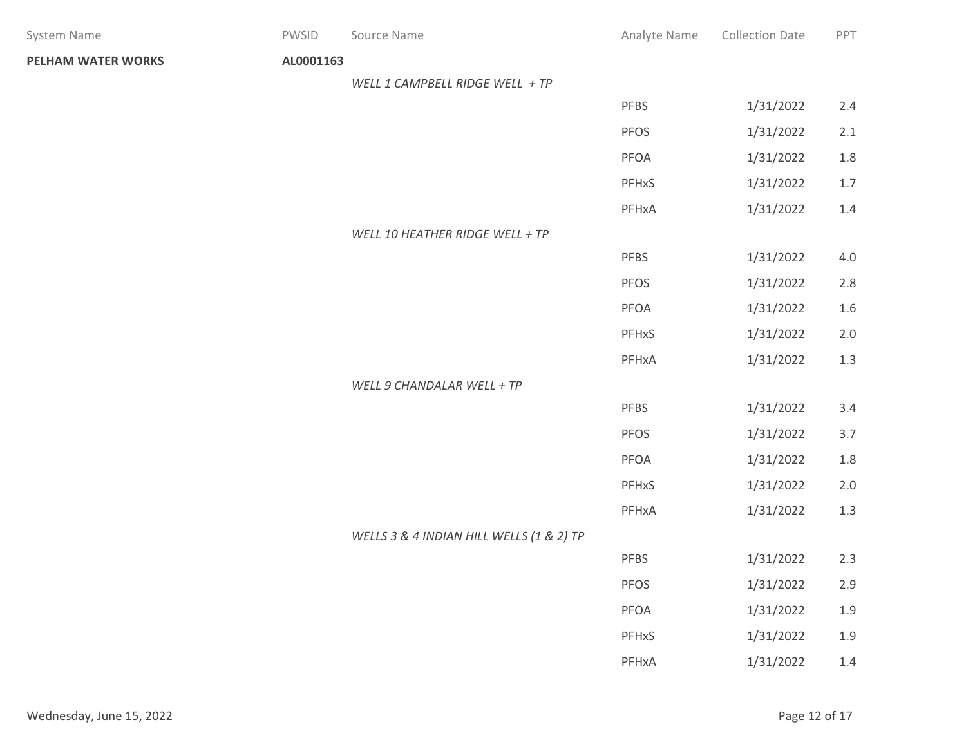| <b>System Name</b> | <b>PWSID</b> | Source Name                              | <b>Analyte Name</b> | <b>Collection Date</b> | PPT     |  |
|--------------------|--------------|------------------------------------------|---------------------|------------------------|---------|--|
| PELHAM WATER WORKS | AL0001163    |                                          |                     |                        |         |  |
|                    |              | WELL 1 CAMPBELL RIDGE WELL + TP          |                     |                        |         |  |
|                    |              |                                          | PFBS                | 1/31/2022              | 2.4     |  |
|                    |              |                                          | PFOS                | 1/31/2022              | 2.1     |  |
|                    |              |                                          | PFOA                | 1/31/2022              | 1.8     |  |
|                    |              |                                          | PFHxS               | 1/31/2022              | $1.7$   |  |
|                    |              |                                          | PFHxA               | 1/31/2022              | $1.4\,$ |  |
|                    |              | WELL 10 HEATHER RIDGE WELL + TP          |                     |                        |         |  |
|                    |              |                                          | PFBS                | 1/31/2022              | $4.0\,$ |  |
|                    |              |                                          | PFOS                | 1/31/2022              | $2.8$   |  |
|                    |              |                                          | PFOA                | 1/31/2022              | $1.6\,$ |  |
|                    |              |                                          | PFHxS               | 1/31/2022              | 2.0     |  |
|                    |              |                                          | PFHxA               | 1/31/2022              | $1.3\,$ |  |
|                    |              | WELL 9 CHANDALAR WELL + TP               |                     |                        |         |  |
|                    |              |                                          | PFBS                | 1/31/2022              | 3.4     |  |
|                    |              |                                          | PFOS                | 1/31/2022              | $3.7$   |  |
|                    |              |                                          | PFOA                | 1/31/2022              | 1.8     |  |
|                    |              |                                          | PFHxS               | 1/31/2022              | $2.0$   |  |
|                    |              |                                          | PFHxA               | 1/31/2022              | $1.3\,$ |  |
|                    |              | WELLS 3 & 4 INDIAN HILL WELLS (1 & 2) TP |                     |                        |         |  |
|                    |              |                                          | PFBS                | 1/31/2022              | 2.3     |  |
|                    |              |                                          | PFOS                | 1/31/2022              | $2.9$   |  |
|                    |              |                                          | PFOA                | 1/31/2022              | $1.9\,$ |  |
|                    |              |                                          | PFHxS               | 1/31/2022              | $1.9\,$ |  |
|                    |              |                                          | PFHxA               | 1/31/2022              | $1.4\,$ |  |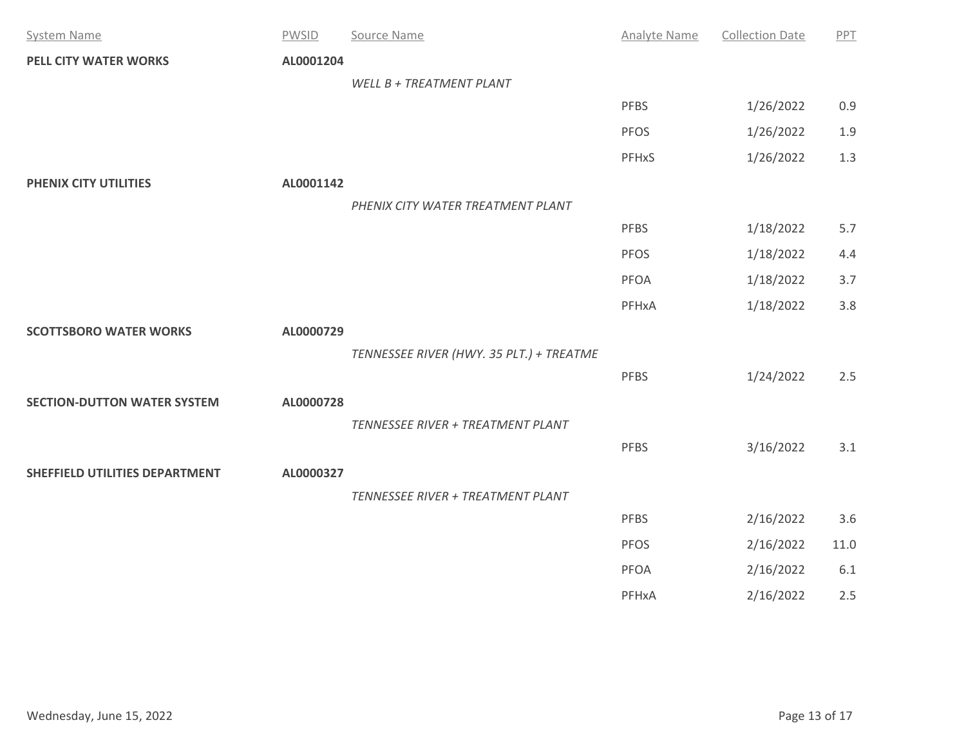| <b>System Name</b>                 | <b>PWSID</b> | Source Name                              | <b>Analyte Name</b> | <b>Collection Date</b> | PPT      |
|------------------------------------|--------------|------------------------------------------|---------------------|------------------------|----------|
| <b>PELL CITY WATER WORKS</b>       | AL0001204    |                                          |                     |                        |          |
|                                    |              | WELL B + TREATMENT PLANT                 |                     |                        |          |
|                                    |              |                                          | <b>PFBS</b>         | 1/26/2022              | 0.9      |
|                                    |              |                                          | <b>PFOS</b>         | 1/26/2022              | 1.9      |
|                                    |              |                                          | PFHxS               | 1/26/2022              | 1.3      |
| PHENIX CITY UTILITIES              | AL0001142    |                                          |                     |                        |          |
|                                    |              | PHENIX CITY WATER TREATMENT PLANT        |                     |                        |          |
|                                    |              |                                          | <b>PFBS</b>         | 1/18/2022              | 5.7      |
|                                    |              |                                          | <b>PFOS</b>         | 1/18/2022              | 4.4      |
|                                    |              |                                          | <b>PFOA</b>         | 1/18/2022              | 3.7      |
|                                    |              |                                          | PFHxA               | 1/18/2022              | 3.8      |
| <b>SCOTTSBORO WATER WORKS</b>      | AL0000729    |                                          |                     |                        |          |
|                                    |              | TENNESSEE RIVER (HWY. 35 PLT.) + TREATME |                     |                        |          |
|                                    |              |                                          | <b>PFBS</b>         | 1/24/2022              | 2.5      |
| <b>SECTION-DUTTON WATER SYSTEM</b> | AL0000728    |                                          |                     |                        |          |
|                                    |              | TENNESSEE RIVER + TREATMENT PLANT        |                     |                        |          |
|                                    |              |                                          | <b>PFBS</b>         | 3/16/2022              | 3.1      |
| SHEFFIELD UTILITIES DEPARTMENT     | AL0000327    |                                          |                     |                        |          |
|                                    |              | TENNESSEE RIVER + TREATMENT PLANT        |                     |                        |          |
|                                    |              |                                          | <b>PFBS</b>         | 2/16/2022              | 3.6      |
|                                    |              |                                          | PFOS                | 2/16/2022              | $11.0\,$ |
|                                    |              |                                          | PFOA                | 2/16/2022              | 6.1      |
|                                    |              |                                          | PFHxA               | 2/16/2022              | 2.5      |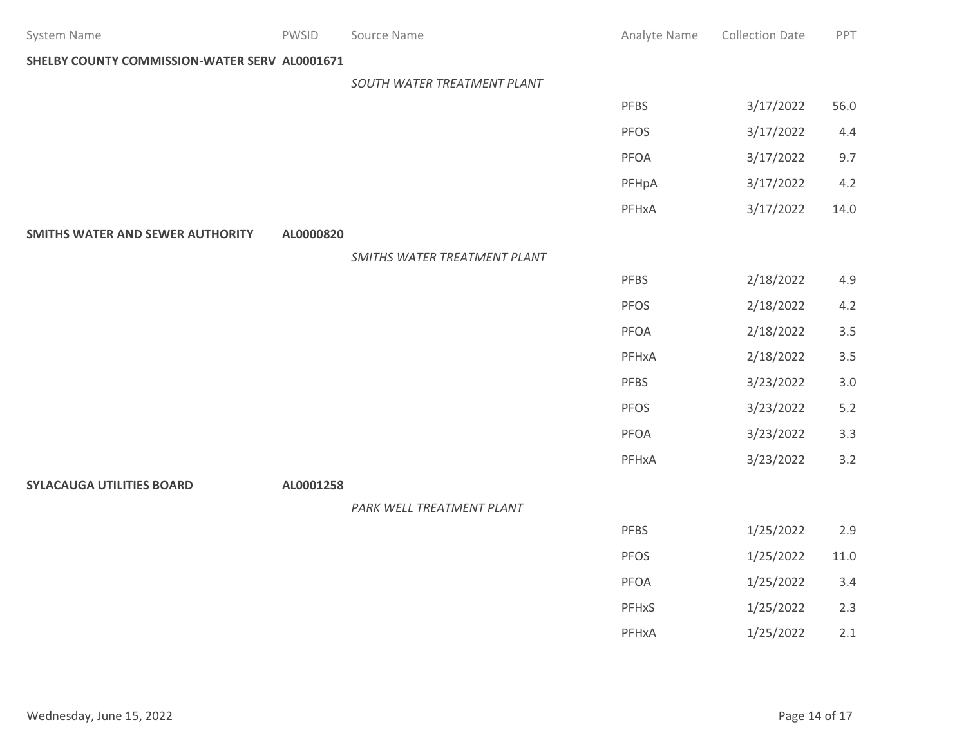| <b>System Name</b>                            | <b>PWSID</b> | Source Name                  | <b>Analyte Name</b> | <b>Collection Date</b> | PPT      |
|-----------------------------------------------|--------------|------------------------------|---------------------|------------------------|----------|
| SHELBY COUNTY COMMISSION-WATER SERV AL0001671 |              |                              |                     |                        |          |
|                                               |              | SOUTH WATER TREATMENT PLANT  |                     |                        |          |
|                                               |              |                              | <b>PFBS</b>         | 3/17/2022              | 56.0     |
|                                               |              |                              | <b>PFOS</b>         | 3/17/2022              | 4.4      |
|                                               |              |                              | PFOA                | 3/17/2022              | 9.7      |
|                                               |              |                              | PFHpA               | 3/17/2022              | 4.2      |
|                                               |              |                              | PFHxA               | 3/17/2022              | 14.0     |
| <b>SMITHS WATER AND SEWER AUTHORITY</b>       | AL0000820    |                              |                     |                        |          |
|                                               |              | SMITHS WATER TREATMENT PLANT |                     |                        |          |
|                                               |              |                              | <b>PFBS</b>         | 2/18/2022              | 4.9      |
|                                               |              |                              | <b>PFOS</b>         | 2/18/2022              | 4.2      |
|                                               |              |                              | PFOA                | 2/18/2022              | 3.5      |
|                                               |              |                              | PFHxA               | 2/18/2022              | 3.5      |
|                                               |              |                              | PFBS                | 3/23/2022              | $3.0\,$  |
|                                               |              |                              | <b>PFOS</b>         | 3/23/2022              | $5.2$    |
|                                               |              |                              | PFOA                | 3/23/2022              | 3.3      |
|                                               |              |                              | PFHxA               | 3/23/2022              | 3.2      |
| <b>SYLACAUGA UTILITIES BOARD</b>              | AL0001258    |                              |                     |                        |          |
|                                               |              | PARK WELL TREATMENT PLANT    |                     |                        |          |
|                                               |              |                              | PFBS                | 1/25/2022              | 2.9      |
|                                               |              |                              | <b>PFOS</b>         | 1/25/2022              | $11.0\,$ |
|                                               |              |                              | PFOA                | 1/25/2022              | 3.4      |
|                                               |              |                              | PFHxS               | 1/25/2022              | 2.3      |
|                                               |              |                              | PFHxA               | 1/25/2022              | 2.1      |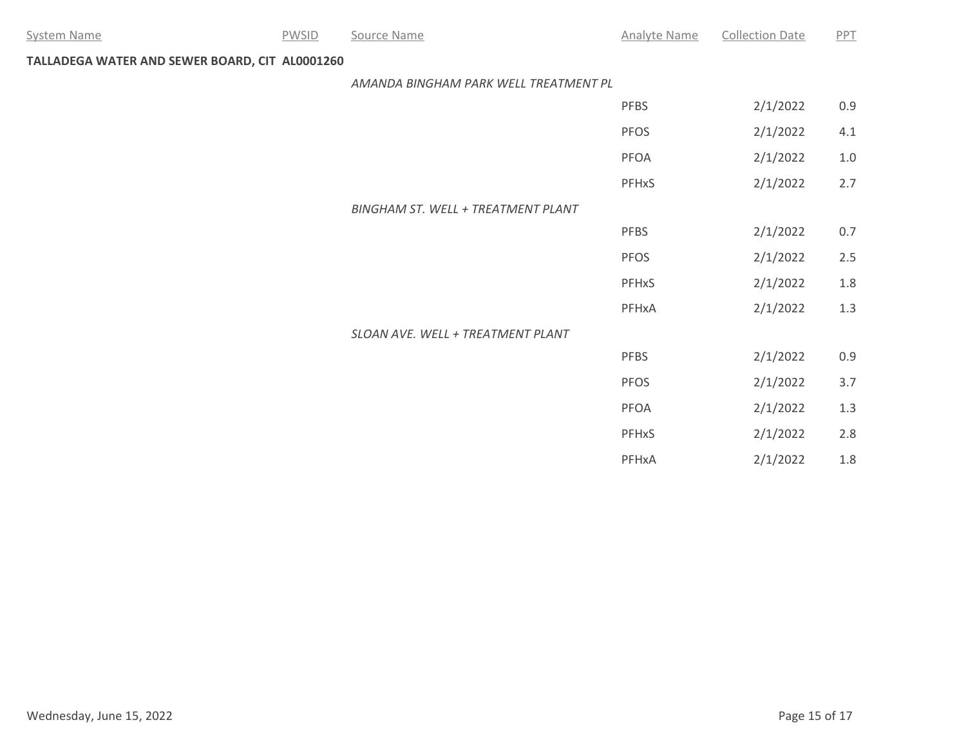# **TALLADEGA WATER AND SEWER BOARD, CIT AL0001260**

#### *AMANDA BINGHAM PARK WELL TREATMENT PL*

|                                    | <b>PFBS</b> | 2/1/2022 | 0.9 |
|------------------------------------|-------------|----------|-----|
|                                    | <b>PFOS</b> | 2/1/2022 | 4.1 |
|                                    | <b>PFOA</b> | 2/1/2022 | 1.0 |
|                                    | PFHxS       | 2/1/2022 | 2.7 |
| BINGHAM ST. WELL + TREATMENT PLANT |             |          |     |
|                                    | <b>PFBS</b> | 2/1/2022 | 0.7 |
|                                    | <b>PFOS</b> | 2/1/2022 | 2.5 |
|                                    | PFHxS       | 2/1/2022 | 1.8 |
|                                    | PFHxA       | 2/1/2022 | 1.3 |
| SLOAN AVE. WELL + TREATMENT PLANT  |             |          |     |
|                                    | <b>PFBS</b> | 2/1/2022 | 0.9 |
|                                    | <b>PFOS</b> | 2/1/2022 | 3.7 |
|                                    | PFOA        | 2/1/2022 | 1.3 |
|                                    | PFHxS       | 2/1/2022 | 2.8 |
|                                    | PFHxA       | 2/1/2022 | 1.8 |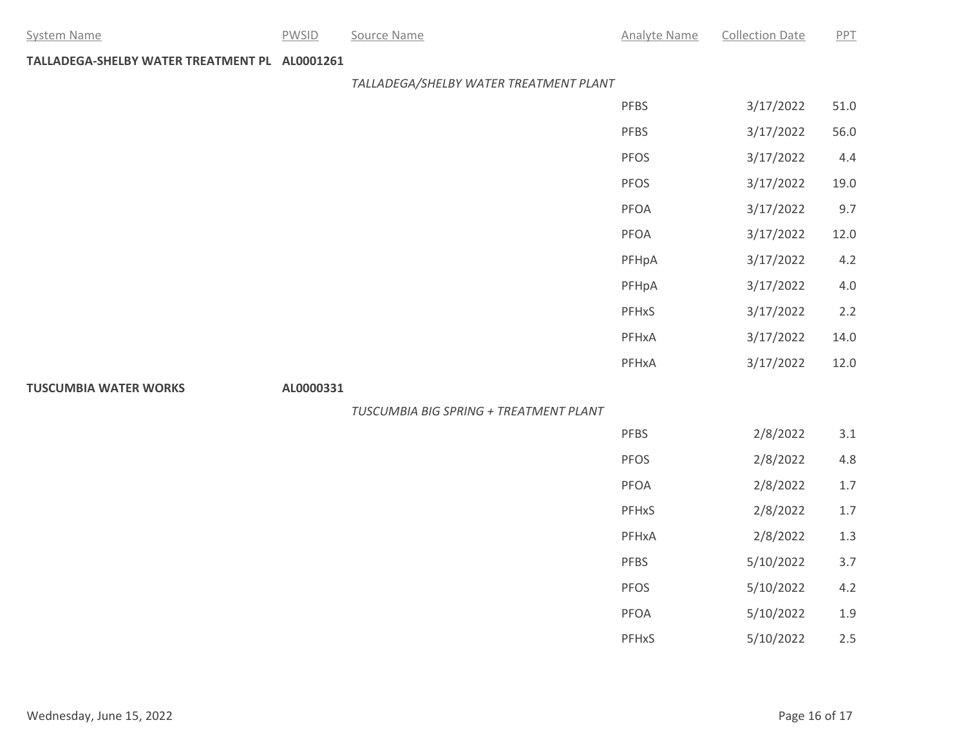# **TALLADEGA-SHELBY WATER TREATMENT PL AL0001261**

### *TALLADEGA/SHELBY WATER TREATMENT PLANT*

|                              |           |                                        | PFBS  | 3/17/2022 | $51.0\,$ |
|------------------------------|-----------|----------------------------------------|-------|-----------|----------|
|                              |           |                                        | PFBS  | 3/17/2022 | 56.0     |
|                              |           |                                        | PFOS  | 3/17/2022 | 4.4      |
|                              |           |                                        | PFOS  | 3/17/2022 | 19.0     |
|                              |           |                                        | PFOA  | 3/17/2022 | 9.7      |
|                              |           |                                        | PFOA  | 3/17/2022 | 12.0     |
|                              |           |                                        | PFHpA | 3/17/2022 | 4.2      |
|                              |           |                                        | PFHpA | 3/17/2022 | $4.0\,$  |
|                              |           |                                        | PFHxS | 3/17/2022 | 2.2      |
|                              |           |                                        | PFHxA | 3/17/2022 | 14.0     |
|                              |           |                                        | PFHxA | 3/17/2022 | 12.0     |
| <b>TUSCUMBIA WATER WORKS</b> | AL0000331 |                                        |       |           |          |
|                              |           | TUSCUMBIA BIG SPRING + TREATMENT PLANT |       |           |          |
|                              |           |                                        | PFBS  | 2/8/2022  | $3.1\,$  |
|                              |           |                                        | PFOS  | 2/8/2022  | $4.8\,$  |
|                              |           |                                        | PFOA  | 2/8/2022  | 1.7      |
|                              |           |                                        | PFHxS | 2/8/2022  | $1.7\,$  |
|                              |           |                                        | PFHxA | 2/8/2022  | $1.3\,$  |
|                              |           |                                        | PFBS  | 5/10/2022 | $3.7$    |
|                              |           |                                        | PFOS  | 5/10/2022 | 4.2      |
|                              |           |                                        | PFOA  | 5/10/2022 | 1.9      |

PFHxS 5/10/2022 2.5